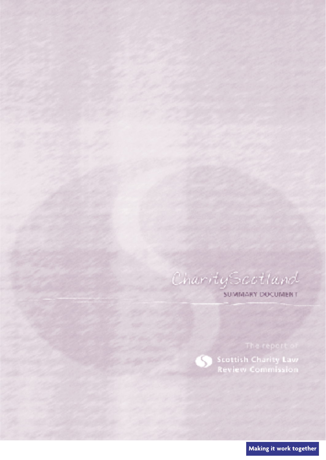CharityScotland

S

**SUMMARY DOCUMENT** 

**Scottish Charity Law**<br>Review Commission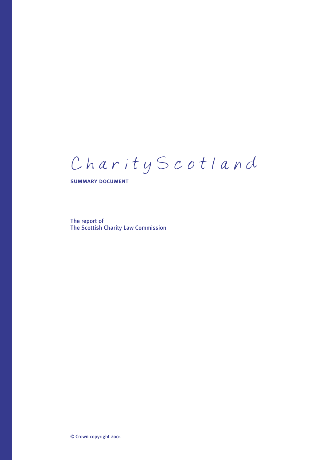# CharityScotland

summary document

The report of The Scottish Charity Law Commission

© Crown copyright 2001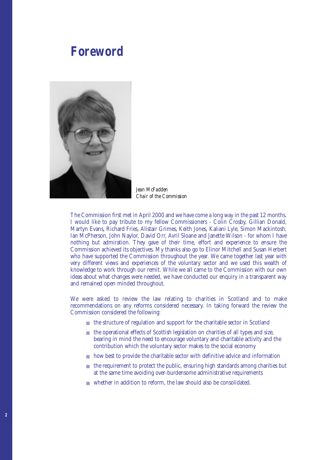# Foreword *Foreword*



*Jean McFadden Chair of the Commission*

The Commission first met in April 2000 and we have come a long way in the past 12 months. I would like to pay tribute to my fellow Commissioners - Colin Crosby, Gillian Donald, Martyn Evans, Richard Fries, Alistair Grimes, Keith Jones, Kaliani Lyle, Simon Mackintosh, Ian McPherson, John Naylor, David Orr, Avril Sloane and Janette Wilson - for whom I have nothing but admiration. They gave of their time, effort and experience to ensure the Commission achieved its objectives. My thanks also go to Elinor Mitchell and Susan Herbert who have supported the Commission throughout the year. We came together last year with very different views and experiences of the voluntary sector and we used this wealth of knowledge to work through our remit. While we all came to the Commission with our own ideas about what changes were needed, we have conducted our enquiry in a transparent way and remained open minded throughout.

We were asked to review the law relating to charities in Scotland and to make recommendations on any reforms considered necessary. In taking forward the review the Commission considered the following:

- the structure of regulation and support for the charitable sector in Scotland
- the operational effects of Scottish legislation on charities of all types and size, bearing in mind the need to encourage voluntary and charitable activity and the contribution which the voluntary sector makes to the social economy
- how best to provide the charitable sector with definitive advice and information
- the requirement to protect the public, ensuring high standards among charities but at the same time avoiding over-burdensome administrative requirements
- whether in addition to reform, the law should also be consolidated.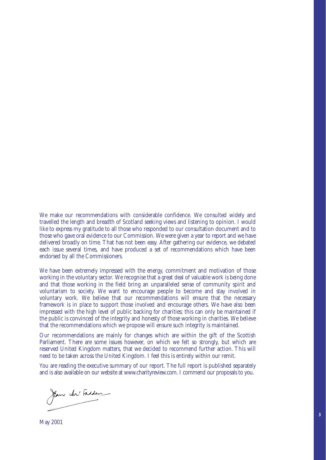We make our recommendations with considerable confidence. We consulted widely and travelled the length and breadth of Scotland seeking views and listening to opinion. I would like to express my gratitude to all those who responded to our consultation document and to those who gave oral evidence to our Commission. We were given a year to report and we have delivered broadly on time. That has not been easy. After gathering our evidence, we debated each issue several times, and have produced a set of recommendations which have been endorsed by all the Commissioners.

We have been extremely impressed with the energy, commitment and motivation of those working in the voluntary sector. We recognise that a great deal of valuable work is being done and that those working in the field bring an unparalleled sense of community spirit and voluntarism to society. We want to encourage people to become and stay involved in voluntary work. We believe that our recommendations will ensure that the necessary framework is in place to support those involved and encourage others. We have also been impressed with the high level of public backing for charities; this can only be maintained if the public is convinced of the integrity and honesty of those working in charities. We believe that the recommendations which we propose will ensure such integrity is maintained.

Our recommendations are mainly for changes which are within the gift of the Scottish Parliament. There are some issues however, on which we felt so strongly, but which are reserved United Kingdom matters, that we decided to recommend further action. This will need to be taken across the United Kingdom. I feel this is entirely within our remit.

You are reading the executive summary of our report. The full report is published separately and is also available on our website at www.charityreview.com. I commend our proposals to you.

**3**

Jan M'Adden

May 2001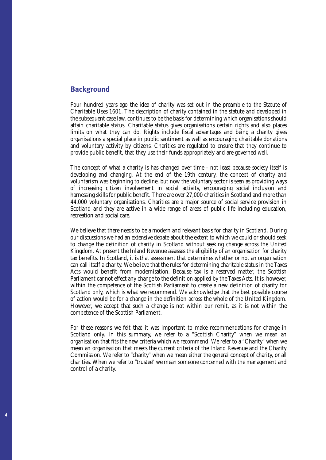# **Background**

Four hundred years ago the idea of charity was set out in the preamble to the Statute of Charitable Uses 1601. The description of charity contained in the statute and developed in the subsequent case law, continues to be the basis for determining which organisations should attain charitable status. Charitable status gives organisations certain rights and also places limits on what they can do. Rights include fiscal advantages and being a charity gives organisations a special place in public sentiment as well as encouraging charitable donations and voluntary activity by citizens. Charities are regulated to ensure that they continue to provide public benefit, that they use their funds appropriately and are governed well.

The concept of what a charity is has changed over time - not least because society itself is developing and changing. At the end of the 19th century, the concept of charity and voluntarism was beginning to decline, but now the voluntary sector is seen as providing ways of increasing citizen involvement in social activity, encouraging social inclusion and harnessing skills for public benefit. There are over 27,000 charities in Scotland and more than 44,000 voluntary organisations. Charities are a major source of social service provision in Scotland and they are active in a wide range of areas of public life including education, recreation and social care.

We believe that there needs to be a modern and relevant basis for charity in Scotland. During our discussions we had an extensive debate about the extent to which we could or should seek to change the definition of charity in Scotland without seeking change across the United Kingdom. At present the Inland Revenue assesses the eligibility of an organisation for charity tax benefits. In Scotland, it is that assessment that determines whether or not an organisation can call itself a charity. We believe that the rules for determining charitable status in the Taxes Acts would benefit from modernisation. Because tax is a reserved matter, the Scottish Parliament cannot effect any change to the definition applied by the Taxes Acts. It is, however, within the competence of the Scottish Parliament to create a new definition of charity for Scotland only, which is what we recommend. We acknowledge that the best possible course of action would be for a change in the definition across the whole of the United Kingdom. However, we accept that such a change is not within our remit, as it is not within the competence of the Scottish Parliament.

For these reasons we felt that it was important to make recommendations for change in Scotland only. In this summary, we refer to a "Scottish Charity" when we mean an organisation that fits the new criteria which we recommend. We refer to a "Charity" when we mean an organisation that meets the current criteria of the Inland Revenue and the Charity Commission. We refer to "charity" when we mean either the general concept of charity, or all charities. When we refer to "trustee" we mean someone concerned with the management and control of a charity.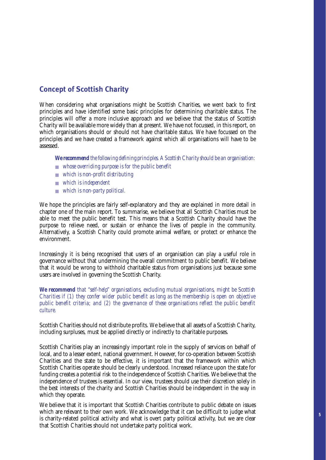# **Concept of Scottish Charity**

When considering what organisations might be Scottish Charities, we went back to first principles and have identified some basic principles for determining charitable status. The principles will offer a more inclusive approach and we believe that the status of Scottish Charity will be available more widely than at present. We have not focussed, in this report, on which organisations should or should not have charitable status. We have focussed on the principles and we have created a framework against which all organisations will have to be assessed.

*We recommend the following defining principles. A Scottish Charity should be an organisation:*

- *whose overriding purpose is for the public benefit*
- *which is non-profit distributing*
- *which is independent*
- *which is non-party political.*

We hope the principles are fairly self-explanatory and they are explained in more detail in chapter one of the main report. To summarise, we believe that all Scottish Charities must be able to meet the public benefit test. This means that a Scottish Charity should have the purpose to relieve need, or sustain or enhance the lives of people in the community. Alternatively, a Scottish Charity could promote animal welfare, or protect or enhance the environment.

Increasingly it is being recognised that users of an organisation can play a useful role in governance without that undermining the overall commitment to public benefit. We believe that it would be wrong to withhold charitable status from organisations just because some users are involved in governing the Scottish Charity.

*We recommend that "self-help" organisations, excluding mutual organisations, might be Scottish Charities if (1) they confer wider public benefit as long as the membership is open on objective public benefit criteria; and (2) the governance of these organisations reflect the public benefit culture.*

Scottish Charities should not distribute profits. We believe that all assets of a Scottish Charity, including surpluses, must be applied directly or indirectly to charitable purposes.

Scottish Charities play an increasingly important role in the supply of services on behalf of local, and to a lesser extent, national government. However, for co-operation between Scottish Charities and the state to be effective, it is important that the framework within which Scottish Charities operate should be clearly understood. Increased reliance upon the state for funding creates a potential risk to the independence of Scottish Charities. We believe that the independence of trustees is essential. In our view, trustees should use their discretion solely in the best interests of the charity and Scottish Charities should be independent in the way in which they operate.

We believe that it is important that Scottish Charities contribute to public debate on issues which are relevant to their own work. We acknowledge that it can be difficult to judge what is charity-related political activity and what is overt party political activity, but we are clear that Scottish Charities should not undertake party political work.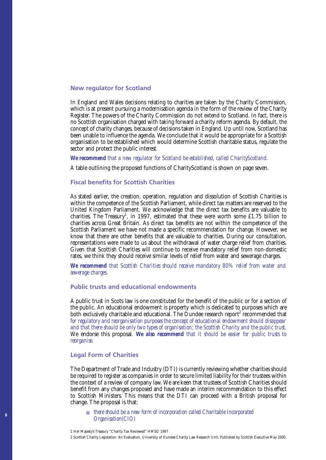# New regulator for Scotland

In England and Wales decisions relating to charities are taken by the Charity Commission, which is at present pursuing a modernisation agenda in the form of the review of the Charity Register. The powers of the Charity Commission do not extend to Scotland. In fact, there is no Scottish organisation charged with taking forward a charity reform agenda. By default, the concept of charity changes, because of decisions taken in England. Up until now, Scotland has been unable to influence the agenda. We conclude that it would be appropriate for a Scottish organisation to be established which would determine Scottish charitable status, regulate the sector and protect the public interest.

#### *We recommend that a new regulator for Scotland be established, called CharityScotland.*

A table outlining the proposed functions of CharityScotland is shown on page seven.

# Fiscal benefits for Scottish Charities

As stated earlier, the creation, operation, regulation and dissolution of Scottish Charities is within the competence of the Scottish Parliament, while direct tax matters are reserved to the United Kingdom Parliament. We acknowledge that the direct tax benefits are valuable to charities. The Treasury<sup>1</sup>, in 1997, estimated that these were worth some £1.75 billion to charities across Great Britain. As direct tax benefits are not within the competence of the Scottish Parliament we have not made a specific recommendation for change. However, we know that there are other benefits that are valuable to charities. During our consultation, representations were made to us about the withdrawal of water charge relief from charities. Given that Scottish Charities will continue to receive mandatory relief from non-domestic rates, we think they should receive similar levels of relief from water and sewerage charges.

*We recommend that Scottish Charities should receive mandatory 80% relief from water and sewerage charges.*

# Public trusts and educational endowments

A public trust in Scots law is one constituted for the benefit of the public or for a section of the public. An educational endowment is property which is dedicated to purposes which are both exclusively charitable and educational. The Dundee research report<sup>2</sup> recommended that *for regulatory and reorganisation purposes the concept of educational endowment should disappear and that there should be only two types of organisation; the Scottish Charity and the public trust.* We endorse this proposal. *We also recommend that it should be easier for public trusts to reorganise.*

#### Legal Form of Charities

The Department of Trade and Industry (DTI) is currently reviewing whether charities should be required to register as companies in order to secure limited liability for their trustees within the context of a review of company law. We are keen that trustees of Scottish Charities should benefit from any changes proposed and have made an interim recommendation to this effect to Scottish Ministers. This means that the DTI can proceed with a British proposal for change. The proposal is that:

■ *there should be a new form of incorporation called Charitable Incorporated Organisation(CIO)*

<sup>2</sup> Scottish Charity Legislation: An Evaluation, University of Dundee Charity Law Research Unit, Published by Scottish Executive May 2000.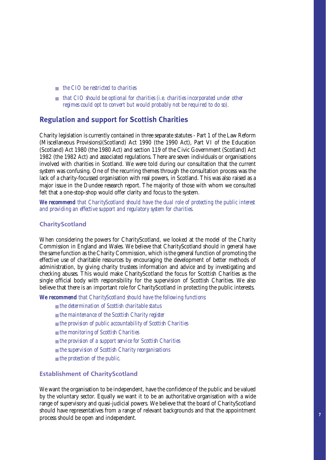- *the CIO be restricted to charities*
- *that CIO should be optional for charities (i.e. charities incorporated under other regimes could opt to convert but would probably not be required to do so).*

# **Regulation and support for Scottish Charities**

Charity legislation is currently contained in three separate statutes - Part 1 of the Law Reform (Miscellaneous Provisions)(Scotland) Act 1990 (the 1990 Act), Part VI of the Education (Scotland) Act 1980 (the 1980 Act) and section 119 of the Civic Government (Scotland) Act 1982 (the 1982 Act) and associated regulations. There are seven individuals or organisations involved with charities in Scotland. We were told during our consultation that the current system was confusing. One of the recurring themes through the consultation process was the lack of a charity-focussed organisation with real powers, in Scotland. This was also raised as a major issue in the Dundee research report. The majority of those with whom we consulted felt that a one-stop-shop would offer clarity and focus to the system.

*We recommend that CharityScotland should have the dual role of protecting the public interest and providing an effective support and regulatory system for charities.*

# CharityScotland

When considering the powers for CharityScotland, we looked at the model of the Charity Commission in England and Wales. We believe that CharityScotland should in general have the same function as the Charity Commission, which is the general function of promoting the effective use of charitable resources by encouraging the development of better methods of administration, by giving charity trustees information and advice and by investigating and checking abuses. This would make CharityScotland the focus for Scottish Charities as the single official body with responsibility for the supervision of Scottish Charities. We also believe that there is an important role for CharityScotland in protecting the public interests.

*We recommend that CharityScotland should have the following functions:* 

- *the determination of Scottish charitable status*
- *the maintenance of the Scottish Charity register*
- *the provision of public accountability of Scottish Charities*
- *the monitoring of Scottish Charities*
- *the provision of a support service for Scottish Charities*
- *the supervision of Scottish Charity reorganisations*
- *the protection of the public.*

# Establishment of CharityScotland

We want the organisation to be independent, have the confidence of the public and be valued by the voluntary sector. Equally we want it to be an authoritative organisation with a wide range of supervisory and quasi-judicial powers. We believe that the board of CharityScotland should have representatives from a range of relevant backgrounds and that the appointment process should be open and independent.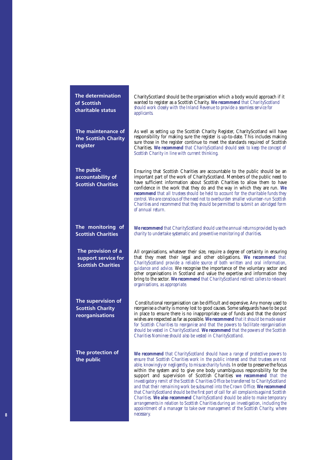| <b>The determination</b><br>of Scottish<br>charitable status           | CharityScotland should be the organisation which a body would approach if it<br>wanted to register as a Scottish Charity. We recommend that CharityScotland<br>should work closely with the Inland Revenue to provide a seamless service for<br><i>applicants.</i>                                                                                                                                                                                                                                                                                                                                                                                                                                                                                                                                                                                                                                                                                                      |
|------------------------------------------------------------------------|-------------------------------------------------------------------------------------------------------------------------------------------------------------------------------------------------------------------------------------------------------------------------------------------------------------------------------------------------------------------------------------------------------------------------------------------------------------------------------------------------------------------------------------------------------------------------------------------------------------------------------------------------------------------------------------------------------------------------------------------------------------------------------------------------------------------------------------------------------------------------------------------------------------------------------------------------------------------------|
| The maintenance of<br>the Scottish Charity<br>register                 | As well as setting up the Scottish Charity Register, CharityScotland will have<br>responsibility for making sure the register is up-to-date. This includes making<br>sure those in the register continue to meet the standards required of Scottish<br>Charities. We recommend that CharityScotland should seek to keep the concept of<br>Scottish Charity in line with current thinking.                                                                                                                                                                                                                                                                                                                                                                                                                                                                                                                                                                               |
| The public<br>accountability of<br><b>Scottish Charities</b>           | Ensuring that Scottish Charities are accountable to the public should be an<br>important part of the work of CharityScotland. Members of the public need to<br>have sufficient information about Scottish Charities to allow them to have<br>confidence in the work that they do and the way in which they are run. We<br>recommend that all trustees should be held to account for the charitable funds they<br>control. We are conscious of the need not to overburden smaller volunteer-run Scottish<br>Charities and recommend that they should be permitted to submit an abridged form<br>of annual return.                                                                                                                                                                                                                                                                                                                                                        |
| The monitoring of<br><b>Scottish Charities</b>                         | We recommend that CharityScotland should use the annual returns provided by each<br>charity to undertake systematic and preventive monitoring of charities.                                                                                                                                                                                                                                                                                                                                                                                                                                                                                                                                                                                                                                                                                                                                                                                                             |
| The provision of a<br>support service for<br><b>Scottish Charities</b> | All organisations, whatever their size, require a degree of certainty in ensuring<br>that they meet their legal and other obligations. We recommend that<br>CharityScotland provide a reliable source of both written and oral information,<br>guidance and advice. We recognise the importance of the voluntary sector and<br>other organisations in Scotland and value the expertise and information they<br>bring to the sector. We recommend that CharityScotland redirect callers to relevant<br>organisations, as appropriate.                                                                                                                                                                                                                                                                                                                                                                                                                                    |
| The supervision of<br><b>Scottish Charity</b><br>reorganisations       | Constitutional reorganisation can be difficult and expensive. Any money used to<br>reorganise a charity is money lost to good causes. Some safeguards have to be put<br>in place to ensure there is no inappropriate use of funds and that the donors'<br>wishes are respected as far as possible. We recommend that it should be made easier<br>for Scottish Charities to reorganise and that the powers to facilitate reorganisation<br>should be vested in CharityScotland. We recommend that the powers of the Scottish<br>Charities Nominee should also be vested in CharityScotland.                                                                                                                                                                                                                                                                                                                                                                              |
| The protection of<br>the public                                        | We recommend that CharityScotland should have a range of protective powers to<br>ensure that Scottish Charities work in the public interest and that trustees are not<br>able, knowingly or negligently, to misuse charity funds. In order to preserve the focus<br>within the system and to give one body unambiguous responsibility for the<br>support and supervision of Scottish Charities we recommend that the<br>investigatory remit of the Scottish Charities Office be transferred to CharityScotland<br>and that their remaining work be subsumed into the Crown Office. We recommend<br>that CharityScotland should be the first port of call for all complaints against Scottish<br>Charities. We also recommend CharityScotland should be able to make temporary<br>arrangements in relation to Scottish Charities during an investigation, including the<br>appointment of a manager to take over management of the Scottish Charity, where<br>necessary. |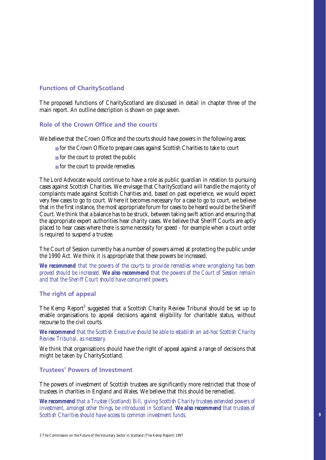# Functions of CharityScotland

The proposed functions of CharityScotland are discussed in detail in chapter three of the main report. An outline description is shown on page seven.

# Role of the Crown Office and the courts

We believe that the Crown Office and the courts should have powers in the following areas:

- for the Crown Office to prepare cases against Scottish Charities to take to court
- for the court to protect the public
- for the court to provide remedies.

The Lord Advocate would continue to have a role as public guardian in relation to pursuing cases against Scottish Charities. We envisage that CharityScotland will handle the majority of complaints made against Scottish Charities and, based on past experience, we would expect very few cases to go to court. Where it becomes necessary for a case to go to court, we believe that in the first instance, the most appropriate forum for cases to be heard would be the Sheriff Court. We think that a balance has to be struck, between taking swift action and ensuring that the appropriate expert authorities hear charity cases. We believe that Sheriff Courts are aptly placed to hear cases where there is some necessity for speed - for example when a court order is required to suspend a trustee.

The Court of Session currently has a number of powers aimed at protecting the public under the 1990 Act. We think it is appropriate that these powers be increased.

*We recommend that the powers of the courts to provide remedies where wrongdoing has been proved should be increased. We also recommend that the powers of the Court of Session remain and that the Sheriff Court should have concurrent powers.*

# The right of appeal

The Kemp Report<sup>3</sup> suggested that a Scottish Charity Review Tribunal should be set up to enable organisations to appeal decisions against eligibility for charitable status, without recourse to the civil courts.

*We recommend that the Scottish Executive should be able to establish an ad-hoc Scottish Charity Review Tribunal, as necessary.* 

We think that organisations should have the right of appeal against a range of decisions that might be taken by CharityScotland.

# Trustees' Powers of Investment

The powers of investment of Scottish trustees are significantly more restricted that those of trustees in charities in England and Wales. We believe that this should be remedied.

*We recommend that a Trustee (Scotland) Bill, giving Scottish Charity trustees extended powers of investment, amongst other things, be introduced in Scotland. We also recommend that trustees of Scottish Charities should have access to common investment funds.*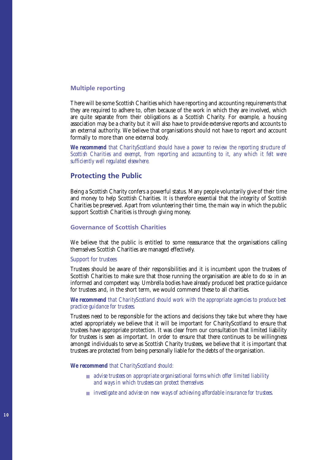# Multiple reporting

There will be some Scottish Charities which have reporting and accounting requirements that they are required to adhere to, often because of the work in which they are involved, which are quite separate from their obligations as a Scottish Charity. For example, a housing association may be a charity but it will also have to provide extensive reports and accounts to an external authority. We believe that organisations should not have to report and account formally to more than one external body.

*We recommend that CharityScotland should have a power to review the reporting structure of Scottish Charities and exempt, from reporting and accounting to it, any which it felt were sufficiently well regulated elsewhere.* 

# Protecting the Public

Being a Scottish Charity confers a powerful status. Many people voluntarily give of their time and money to help Scottish Charities. It is therefore essential that the integrity of Scottish Charities be preserved. Apart from volunteering their time, the main way in which the public support Scottish Charities is through giving money.

# Governance of Scottish Charities

We believe that the public is entitled to some reassurance that the organisations calling themselves Scottish Charities are managed effectively.

### Support for trustees

Trustees should be aware of their responsibilities and it is incumbent upon the trustees of Scottish Charities to make sure that those running the organisation are able to do so in an informed and competent way. Umbrella bodies have already produced best practice guidance for trustees and, in the short term, we would commend these to all charities.

# *We recommend that CharityScotland should work with the appropriate agencies to produce best practice guidance for trustees.*

Trustees need to be responsible for the actions and decisions they take but where they have acted appropriately we believe that it will be important for CharityScotland to ensure that trustees have appropriate protection. It was clear from our consultation that limited liability for trustees is seen as important. In order to ensure that there continues to be willingness amongst individuals to serve as Scottish Charity trustees, we believe that it is important that trustees are protected from being personally liable for the debts of the organisation.

#### *We recommend that CharityScotland should:*

- *advise trustees on appropriate organisational forms which offer limited liability and ways in which trustees can protect themselves*
- *investigate and advise on new ways of achieving affordable insurance for trustees.*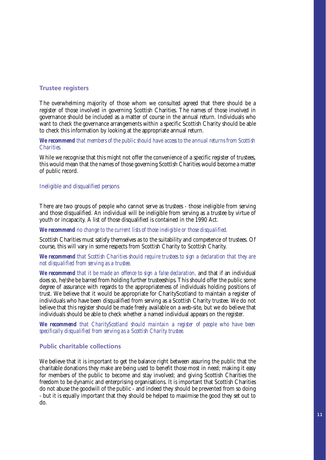# Trustee registers

The overwhelming majority of those whom we consulted agreed that there should be a register of those involved in governing Scottish Charities. The names of those involved in governance should be included as a matter of course in the annual return. Individuals who want to check the governance arrangements within a specific Scottish Charity should be able to check this information by looking at the appropriate annual return.

*We recommend that members of the public should have access to the annual returns from Scottish Charities.* 

While we recognise that this might not offer the convenience of a specific register of trustees, this would mean that the names of those governing Scottish Charities would become a matter of public record.

# Ineligible and disqualified persons

There are two groups of people who cannot serve as trustees - those ineligible from serving and those disqualified. An individual will be ineligible from serving as a trustee by virtue of youth or incapacity. A list of those disqualified is contained in the 1990 Act.

*We recommend no change to the current lists of those ineligible or those disqualified.* 

Scottish Charities must satisfy themselves as to the suitability and competence of trustees. Of course, this will vary in some respects from Scottish Charity to Scottish Charity.

*We recommend that Scottish Charities should require trustees to sign a declaration that they are not disqualified from serving as a trustee.*

*We recommend that it be made an offence to sign a false declaration,* and that if an individual does so, he/she be barred from holding further trusteeships. This should offer the public some degree of assurance with regards to the appropriateness of individuals holding positions of trust. We believe that it would be appropriate for CharityScotland to maintain a register of individuals who have been disqualified from serving as a Scottish Charity trustee. We do not believe that this register should be made freely available on a web-site, but we do believe that individuals should be able to check whether a named individual appears on the register.

*We recommend that CharityScotland should maintain a register of people who have been specifically disqualified from serving as a Scottish Charity trustee.*

#### Public charitable collections

We believe that it is important to get the balance right between assuring the public that the charitable donations they make are being used to benefit those most in need; making it easy for members of the public to become and stay involved; and giving Scottish Charities the freedom to be dynamic and enterprising organisations. It is important that Scottish Charities do not abuse the goodwill of the public - and indeed they should be prevented from so doing - but it is equally important that they should be helped to maximise the good they set out to do.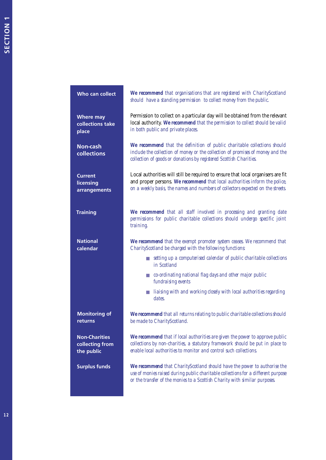| Who can collect                                       | We recommend that organisations that are registered with CharityScotland<br>should have a standing permission to collect money from the public.                                                                                                   |
|-------------------------------------------------------|---------------------------------------------------------------------------------------------------------------------------------------------------------------------------------------------------------------------------------------------------|
| <b>Where may</b><br>collections take<br>place         | Permission to collect on a particular day will be obtained from the relevant<br>local authority. We recommend that the permission to collect should be valid<br>in both public and private places.                                                |
| <b>Non-cash</b><br>collections                        | We recommend that the definition of public charitable collections should<br>include the collection of money or the collection of promises of money and the<br>collection of goods or donations by registered Scottish Charities.                  |
| <b>Current</b><br>licensing<br>arrangements           | Local authorities will still be required to ensure that local organisers are fit<br>and proper persons. We recommend that local authorities inform the police,<br>on a weekly basis, the names and numbers of collectors expected on the streets. |
| <b>Training</b>                                       | We recommend that all staff involved in processing and granting date<br>permissions for public charitable collections should undergo specific joint<br>training.                                                                                  |
| <b>National</b><br>calendar                           | We recommend that the exempt promoter system ceases. We recommend that<br>CharityScotland be charged with the following functions:                                                                                                                |
|                                                       | setting up a computerised calendar of public charitable collections<br>in Scotland                                                                                                                                                                |
|                                                       | ■ co-ordinating national flag days and other major public<br>fundraising events                                                                                                                                                                   |
|                                                       | liaising with and working closely with local authorities regarding<br>dates.                                                                                                                                                                      |
| <b>Monitoring of</b><br>returns                       | We recommend that all returns relating to public charitable collections should<br>be made to CharityScotland.                                                                                                                                     |
| <b>Non-Charities</b><br>collecting from<br>the public | We recommend that if local authorities are given the power to approve public<br>collections by non-charities, a statutory framework should be put in place to<br>enable local authorities to monitor and control such collections.                |
| <b>Surplus funds</b>                                  | We recommend that CharityScotland should have the power to authorise the<br>use of monies raised during public charitable collections for a different purpose<br>or the transfer of the monies to a Scottish Charity with similar purposes.       |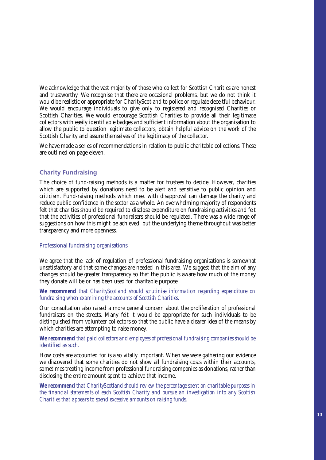We acknowledge that the vast majority of those who collect for Scottish Charities are honest and trustworthy. We recognise that there are occasional problems, but we do not think it would be realistic or appropriate for CharityScotland to police or regulate deceitful behaviour. We would encourage individuals to give only to registered and recognised Charities or Scottish Charities. We would encourage Scottish Charities to provide all their legitimate collectors with easily identifiable badges and sufficient information about the organisation to allow the public to question legitimate collectors, obtain helpful advice on the work of the Scottish Charity and assure themselves of the legitimacy of the collector.

We have made a series of recommendations in relation to public charitable collections. These are outlined on page eleven.

# Charity Fundraising

The choice of fund-raising methods is a matter for trustees to decide. However, charities which are supported by donations need to be alert and sensitive to public opinion and criticism. Fund-raising methods which meet with disapproval can damage the charity and reduce public confidence in the sector as a whole. An overwhelming majority of respondents felt that charities should be required to disclose expenditure on fundraising activities and felt that the activities of professional fundraisers should be regulated. There was a wide range of suggestions on how this might be achieved, but the underlying theme throughout was better transparency and more openness.

# Professional fundraising organisations

We agree that the lack of regulation of professional fundraising organisations is somewhat unsatisfactory and that some changes are needed in this area. We suggest that the aim of any changes should be greater transparency so that the public is aware how much of the money they donate will be or has been used for charitable purpose.

# *We recommend that CharityScotland should scrutinise information regarding expenditure on fundraising when examining the accounts of Scottish Charities.*

Our consultation also raised a more general concern about the proliferation of professional fundraisers on the streets. Many felt it would be appropriate for such individuals to be distinguished from volunteer collectors so that the public have a clearer idea of the means by which charities are attempting to raise money.

# *We recommend that paid collectors and employees of professional fundraising companies should be identified as such.*

How costs are accounted for is also vitally important. When we were gathering our evidence we discovered that some charities do not show all fundraising costs within their accounts, sometimes treating income from professional fundraising companies as donations, rather than disclosing the entire amount spent to achieve that income.

*We recommend that CharityScotland should review the percentage spent on charitable purposes in the financial statements of each Scottish Charity and pursue an investigation into any Scottish Charities that appears to spend excessive amounts on raising funds.*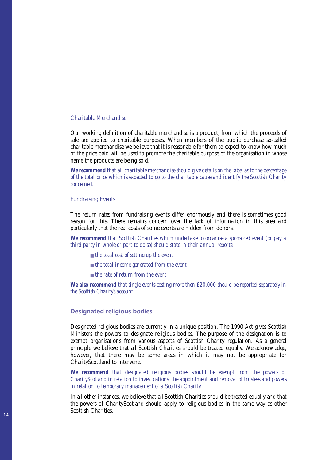#### Charitable Merchandise

Our working definition of charitable merchandise is a product, from which the proceeds of sale are applied to charitable purposes. When members of the public purchase so-called charitable merchandise we believe that it is reasonable for them to expect to know how much of the price paid will be used to promote the charitable purpose of the organisation in whose name the products are being sold.

*We recommend that all charitable merchandise should give details on the label as to the percentage of the total price which is expected to go to the charitable cause and identify the Scottish Charity concerned.*

#### Fundraising Events

The return rates from fundraising events differ enormously and there is sometimes good reason for this. There remains concern over the lack of information in this area and particularly that the real costs of some events are hidden from donors.

*We recommend that Scottish Charities which undertake to organise a sponsored event (or pay a third party in whole or part to do so) should state in their annual reports:*

- *the total cost of setting up the event*
- *the total income generated from the event*
- *the rate of return from the event.*

*We also recommend that single events costing more then £20,000 should be reported separately in the Scottish Charity's account.* 

# Designated religious bodies

Designated religious bodies are currently in a unique position. The 1990 Act gives Scottish Ministers the powers to designate religious bodies. The purpose of the designation is to exempt organisations from various aspects of Scottish Charity regulation. As a general principle we believe that all Scottish Charities should be treated equally. We acknowledge, however, that there may be some areas in which it may not be appropriate for CharityScottland to intervene.

*We recommend that designated religious bodies should be exempt from the powers of CharityScotland in relation to investigations, the appointment and removal of trustees and powers in relation to temporary management of a Scottish Charity.*

In all other instances, we believe that all Scottish Charities should be treated equally and that the powers of CharityScotland should apply to religious bodies in the same way as other Scottish Charities.